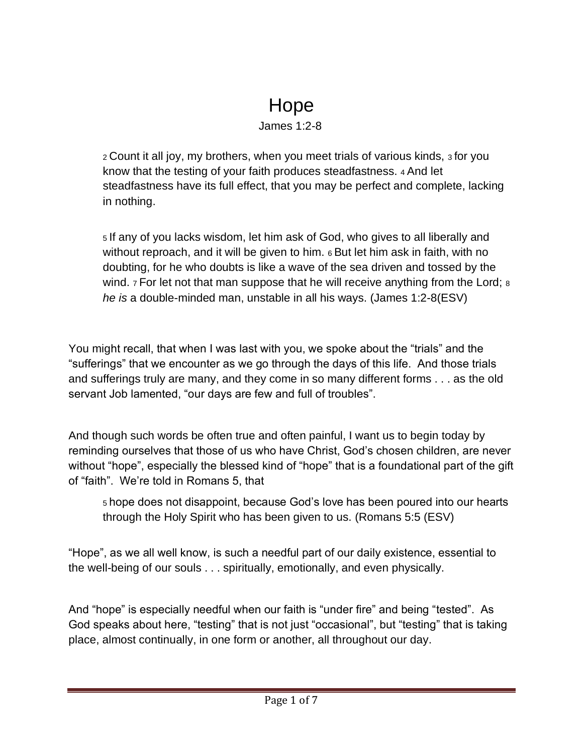## Hope

## James 1:2-8

<sup>2</sup>Count it all joy, my brothers, when you meet trials of various kinds, 3 for you know that the testing of your faith produces steadfastness. 4 And let steadfastness have its full effect, that you may be perfect and complete, lacking in nothing.

<sup>5</sup>If any of you lacks wisdom, let him ask of God, who gives to all liberally and without reproach, and it will be given to him. 6 But let him ask in faith, with no doubting, for he who doubts is like a wave of the sea driven and tossed by the wind. 7 For let not that man suppose that he will receive anything from the Lord; 8 *he is* a double-minded man, unstable in all his ways. (James 1:2-8(ESV)

You might recall, that when I was last with you, we spoke about the "trials" and the "sufferings" that we encounter as we go through the days of this life. And those trials and sufferings truly are many, and they come in so many different forms . . . as the old servant Job lamented, "our days are few and full of troubles".

And though such words be often true and often painful, I want us to begin today by reminding ourselves that those of us who have Christ, God's chosen children, are never without "hope", especially the blessed kind of "hope" that is a foundational part of the gift of "faith". We're told in Romans 5, that

<sup>5</sup>hope does not disappoint, because God's love has been poured into our hearts through the Holy Spirit who has been given to us. (Romans 5:5 (ESV)

"Hope", as we all well know, is such a needful part of our daily existence, essential to the well-being of our souls . . . spiritually, emotionally, and even physically.

And "hope" is especially needful when our faith is "under fire" and being "tested". As God speaks about here, "testing" that is not just "occasional", but "testing" that is taking place, almost continually, in one form or another, all throughout our day.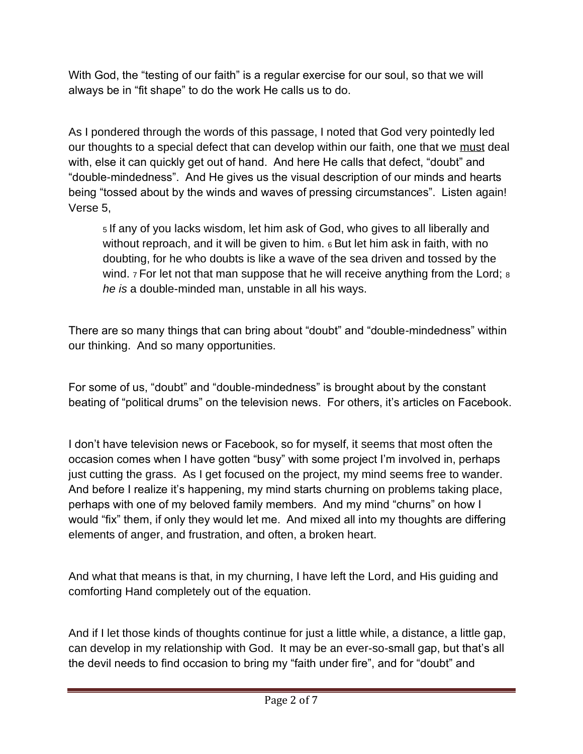With God, the "testing of our faith" is a regular exercise for our soul, so that we will always be in "fit shape" to do the work He calls us to do.

As I pondered through the words of this passage, I noted that God very pointedly led our thoughts to a special defect that can develop within our faith, one that we must deal with, else it can quickly get out of hand. And here He calls that defect, "doubt" and "double-mindedness". And He gives us the visual description of our minds and hearts being "tossed about by the winds and waves of pressing circumstances". Listen again! Verse 5,

<sup>5</sup>If any of you lacks wisdom, let him ask of God, who gives to all liberally and without reproach, and it will be given to him. 6 But let him ask in faith, with no doubting, for he who doubts is like a wave of the sea driven and tossed by the wind. 7 For let not that man suppose that he will receive anything from the Lord; 8 *he is* a double-minded man, unstable in all his ways.

There are so many things that can bring about "doubt" and "double-mindedness" within our thinking. And so many opportunities.

For some of us, "doubt" and "double-mindedness" is brought about by the constant beating of "political drums" on the television news. For others, it's articles on Facebook.

I don't have television news or Facebook, so for myself, it seems that most often the occasion comes when I have gotten "busy" with some project I'm involved in, perhaps just cutting the grass. As I get focused on the project, my mind seems free to wander. And before I realize it's happening, my mind starts churning on problems taking place, perhaps with one of my beloved family members. And my mind "churns" on how I would "fix" them, if only they would let me. And mixed all into my thoughts are differing elements of anger, and frustration, and often, a broken heart.

And what that means is that, in my churning, I have left the Lord, and His guiding and comforting Hand completely out of the equation.

And if I let those kinds of thoughts continue for just a little while, a distance, a little gap, can develop in my relationship with God. It may be an ever-so-small gap, but that's all the devil needs to find occasion to bring my "faith under fire", and for "doubt" and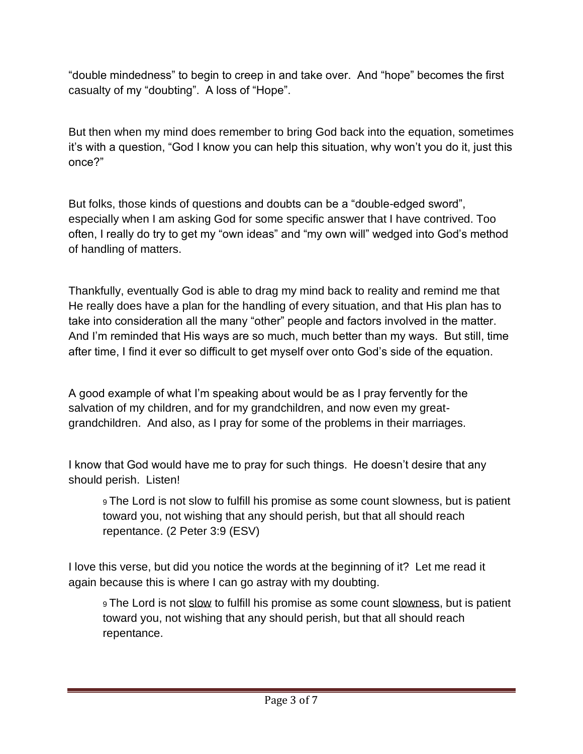"double mindedness" to begin to creep in and take over. And "hope" becomes the first casualty of my "doubting". A loss of "Hope".

But then when my mind does remember to bring God back into the equation, sometimes it's with a question, "God I know you can help this situation, why won't you do it, just this once?"

But folks, those kinds of questions and doubts can be a "double-edged sword", especially when I am asking God for some specific answer that I have contrived. Too often, I really do try to get my "own ideas" and "my own will" wedged into God's method of handling of matters.

Thankfully, eventually God is able to drag my mind back to reality and remind me that He really does have a plan for the handling of every situation, and that His plan has to take into consideration all the many "other" people and factors involved in the matter. And I'm reminded that His ways are so much, much better than my ways. But still, time after time, I find it ever so difficult to get myself over onto God's side of the equation.

A good example of what I'm speaking about would be as I pray fervently for the salvation of my children, and for my grandchildren, and now even my greatgrandchildren. And also, as I pray for some of the problems in their marriages.

I know that God would have me to pray for such things. He doesn't desire that any should perish. Listen!

<sup>9</sup>The Lord is not slow to fulfill his promise as some count slowness, but is patient toward you, not wishing that any should perish, but that all should reach repentance. (2 Peter 3:9 (ESV)

I love this verse, but did you notice the words at the beginning of it? Let me read it again because this is where I can go astray with my doubting.

9 The Lord is not slow to fulfill his promise as some count slowness, but is patient toward you, not wishing that any should perish, but that all should reach repentance.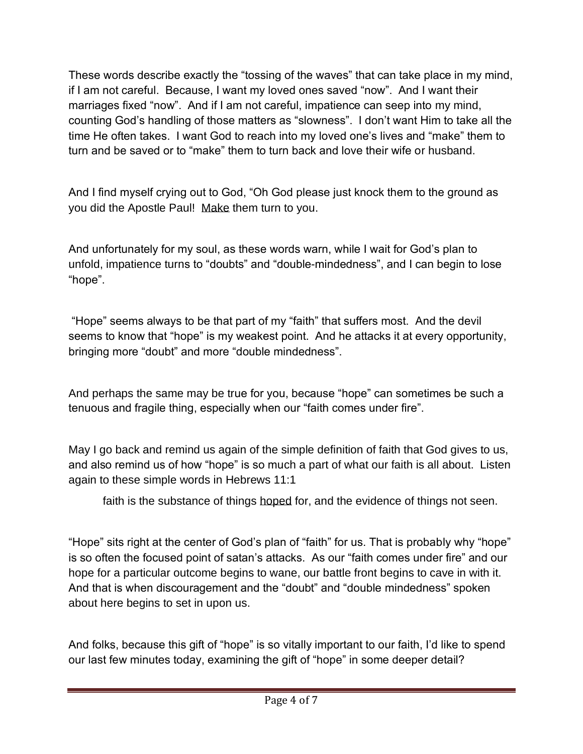These words describe exactly the "tossing of the waves" that can take place in my mind, if I am not careful. Because, I want my loved ones saved "now". And I want their marriages fixed "now". And if I am not careful, impatience can seep into my mind, counting God's handling of those matters as "slowness". I don't want Him to take all the time He often takes. I want God to reach into my loved one's lives and "make" them to turn and be saved or to "make" them to turn back and love their wife or husband.

And I find myself crying out to God, "Oh God please just knock them to the ground as you did the Apostle Paul! Make them turn to you.

And unfortunately for my soul, as these words warn, while I wait for God's plan to unfold, impatience turns to "doubts" and "double-mindedness", and I can begin to lose "hope".

"Hope" seems always to be that part of my "faith" that suffers most. And the devil seems to know that "hope" is my weakest point. And he attacks it at every opportunity, bringing more "doubt" and more "double mindedness".

And perhaps the same may be true for you, because "hope" can sometimes be such a tenuous and fragile thing, especially when our "faith comes under fire".

May I go back and remind us again of the simple definition of faith that God gives to us, and also remind us of how "hope" is so much a part of what our faith is all about. Listen again to these simple words in Hebrews 11:1

faith is the substance of things hoped for, and the evidence of things not seen.

"Hope" sits right at the center of God's plan of "faith" for us. That is probably why "hope" is so often the focused point of satan's attacks. As our "faith comes under fire" and our hope for a particular outcome begins to wane, our battle front begins to cave in with it. And that is when discouragement and the "doubt" and "double mindedness" spoken about here begins to set in upon us.

And folks, because this gift of "hope" is so vitally important to our faith, I'd like to spend our last few minutes today, examining the gift of "hope" in some deeper detail?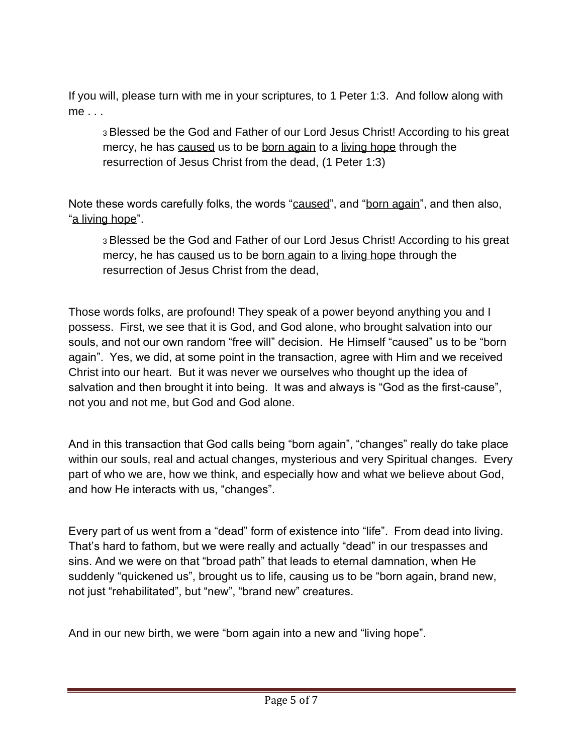If you will, please turn with me in your scriptures, to 1 Peter 1:3. And follow along with me . . .

<sup>3</sup>Blessed be the God and Father of our Lord Jesus Christ! According to his great mercy, he has caused us to be born again to a living hope through the resurrection of Jesus Christ from the dead, (1 Peter 1:3)

Note these words carefully folks, the words "caused", and "born again", and then also, "a living hope".

<sup>3</sup>Blessed be the God and Father of our Lord Jesus Christ! According to his great mercy, he has caused us to be born again to a living hope through the resurrection of Jesus Christ from the dead,

Those words folks, are profound! They speak of a power beyond anything you and I possess. First, we see that it is God, and God alone, who brought salvation into our souls, and not our own random "free will" decision. He Himself "caused" us to be "born again". Yes, we did, at some point in the transaction, agree with Him and we received Christ into our heart. But it was never we ourselves who thought up the idea of salvation and then brought it into being. It was and always is "God as the first-cause", not you and not me, but God and God alone.

And in this transaction that God calls being "born again", "changes" really do take place within our souls, real and actual changes, mysterious and very Spiritual changes. Every part of who we are, how we think, and especially how and what we believe about God, and how He interacts with us, "changes".

Every part of us went from a "dead" form of existence into "life". From dead into living. That's hard to fathom, but we were really and actually "dead" in our trespasses and sins. And we were on that "broad path" that leads to eternal damnation, when He suddenly "quickened us", brought us to life, causing us to be "born again, brand new, not just "rehabilitated", but "new", "brand new" creatures.

And in our new birth, we were "born again into a new and "living hope".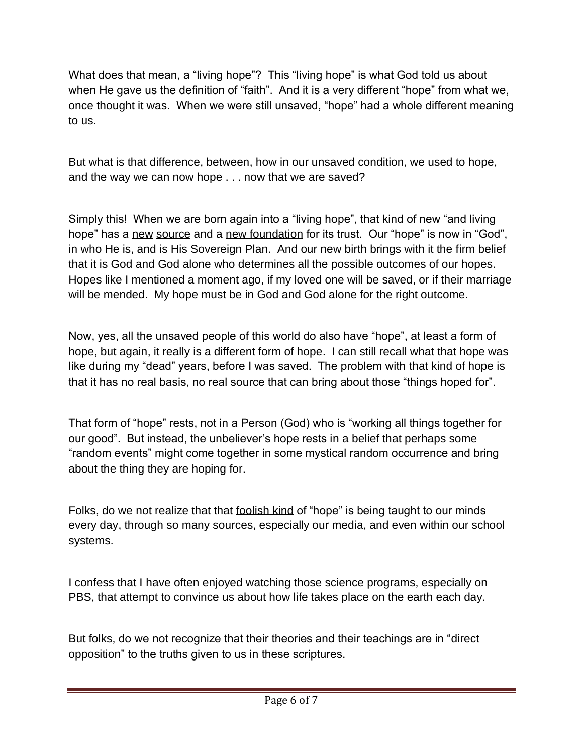What does that mean, a "living hope"? This "living hope" is what God told us about when He gave us the definition of "faith". And it is a very different "hope" from what we, once thought it was. When we were still unsaved, "hope" had a whole different meaning to us.

But what is that difference, between, how in our unsaved condition, we used to hope, and the way we can now hope . . . now that we are saved?

Simply this! When we are born again into a "living hope", that kind of new "and living hope" has a new source and a new foundation for its trust. Our "hope" is now in "God", in who He is, and is His Sovereign Plan. And our new birth brings with it the firm belief that it is God and God alone who determines all the possible outcomes of our hopes. Hopes like I mentioned a moment ago, if my loved one will be saved, or if their marriage will be mended. My hope must be in God and God alone for the right outcome.

Now, yes, all the unsaved people of this world do also have "hope", at least a form of hope, but again, it really is a different form of hope. I can still recall what that hope was like during my "dead" years, before I was saved. The problem with that kind of hope is that it has no real basis, no real source that can bring about those "things hoped for".

That form of "hope" rests, not in a Person (God) who is "working all things together for our good". But instead, the unbeliever's hope rests in a belief that perhaps some "random events" might come together in some mystical random occurrence and bring about the thing they are hoping for.

Folks, do we not realize that that foolish kind of "hope" is being taught to our minds every day, through so many sources, especially our media, and even within our school systems.

I confess that I have often enjoyed watching those science programs, especially on PBS, that attempt to convince us about how life takes place on the earth each day.

But folks, do we not recognize that their theories and their teachings are in "direct opposition" to the truths given to us in these scriptures.